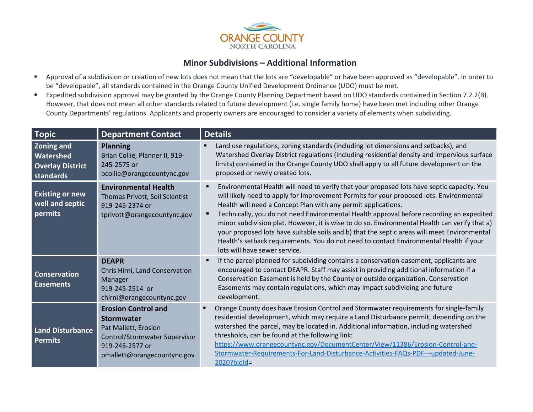

## **Minor Subdivisions – Additional Information**

- Approval of a subdivision or creation of new lots does not mean that the lots are "developable" or have been approved as "developable". In order to be "developable", all standards contained in the Orange County Unified Development Ordinance (UDO) must be met.
- Expedited subdivision approval may be granted by the Orange County Planning Department based on UDO standards contained in Section 7.2.2(B). However, that does not mean all other standards related to future development (i.e. single family home) have been met including other Orange County Departments' regulations. Applicants and property owners are encouraged to consider a variety of elements when subdividing.

| Topic                                                                  | <b>Department Contact</b>                                                                                                                                  | <b>Details</b>                                                                                                                                                                                                                                                                                                                                                                                                                                                                                                                                                                                                                                                                                       |
|------------------------------------------------------------------------|------------------------------------------------------------------------------------------------------------------------------------------------------------|------------------------------------------------------------------------------------------------------------------------------------------------------------------------------------------------------------------------------------------------------------------------------------------------------------------------------------------------------------------------------------------------------------------------------------------------------------------------------------------------------------------------------------------------------------------------------------------------------------------------------------------------------------------------------------------------------|
| <b>Zoning and</b><br>Watershed<br><b>Overlay District</b><br>standards | <b>Planning</b><br>Brian Collie, Planner II, 919-<br>245-2575 or<br>bcollie@orangecountync.gov                                                             | Land use regulations, zoning standards (including lot dimensions and setbacks), and<br>Watershed Overlay District regulations (including residential density and impervious surface<br>limits) contained in the Orange County UDO shall apply to all future development on the<br>proposed or newly created lots.                                                                                                                                                                                                                                                                                                                                                                                    |
| <b>Existing or new</b><br>well and septic<br>permits                   | <b>Environmental Health</b><br>Thomas Privott, Soil Scientist<br>919-245-2374 or<br>tprivott@orangecountync.gov                                            | Environmental Health will need to verify that your proposed lots have septic capacity. You<br>$\blacksquare$<br>will likely need to apply for Improvement Permits for your proposed lots. Environmental<br>Health will need a Concept Plan with any permit applications.<br>Technically, you do not need Environmental Health approval before recording an expedited<br>٠<br>minor subdivision plat. However, it is wise to do so. Environmental Health can verify that a)<br>your proposed lots have suitable soils and b) that the septic areas will meet Environmental<br>Health's setback requirements. You do not need to contact Environmental Health if your<br>lots will have sewer service. |
| <b>Conservation</b><br>Easements                                       | <b>DEAPR</b><br>Chris Hirni, Land Conservation<br>Manager<br>919-245-2514 or<br>chirni@orangecountync.gov                                                  | If the parcel planned for subdividing contains a conservation easement, applicants are<br>٠<br>encouraged to contact DEAPR. Staff may assist in providing additional information if a<br>Conservation Easement is held by the County or outside organization. Conservation<br>Easements may contain regulations, which may impact subdividing and future<br>development.                                                                                                                                                                                                                                                                                                                             |
| Land Disturbance<br><b>Permits</b>                                     | <b>Erosion Control and</b><br><b>Stormwater</b><br>Pat Mallett, Erosion<br>Control/Stormwater Supervisor<br>919-245-2577 or<br>pmallett@orangecountync.gov | Orange County does have Erosion Control and Stormwater requirements for single-family<br>residential development, which may require a Land Disturbance permit, depending on the<br>watershed the parcel, may be located in. Additional information, including watershed<br>thresholds, can be found at the following link:<br>https://www.orangecountync.gov/DocumentCenter/View/11386/Erosion-Control-and-<br>Stormwater-Requirements-For-Land-Disturbance-Activities-FAQs-PDF---updated-June-<br>$2020?$ bidld=                                                                                                                                                                                    |